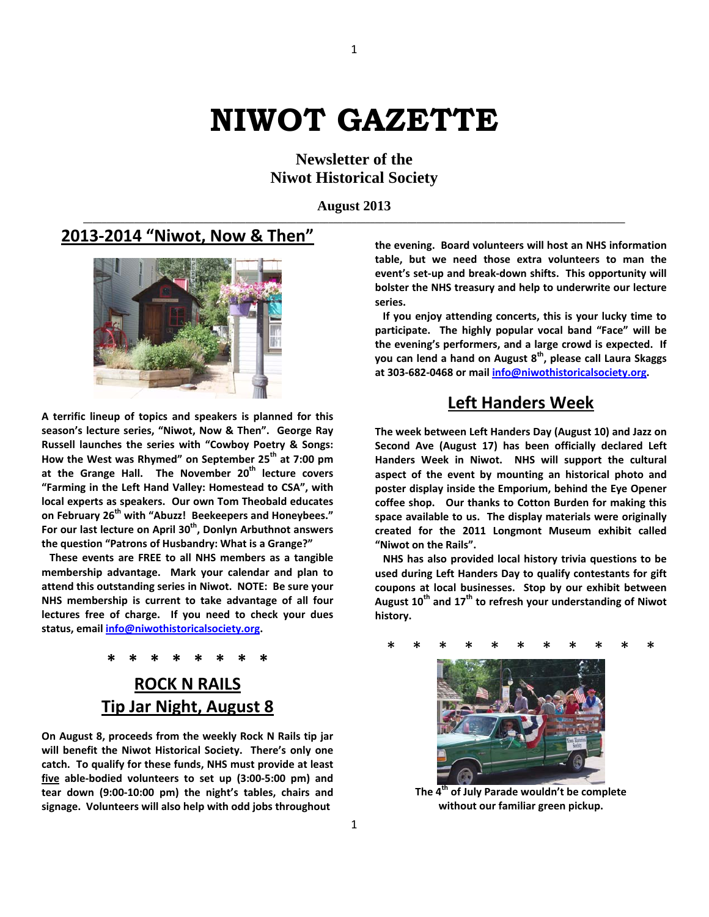# **NIWOT GAZETTE**

**Newsletter of the Niwot Historical Society**

**August 2013** 

#### **2013‐2014 "Niwot, Now & Then"**



**A terrific lineup of topics and speakers is planned for this season's lecture series, "Niwot, Now & Then". George Ray Russell launches the series with "Cowboy Poetry & Songs: How the West was Rhymed" on September 25th at 7:00 pm at the Grange Hall. The November 20th lecture covers "Farming in the Left Hand Valley: Homestead to CSA", with local experts as speakers. Our own Tom Theobald educates on February 26th with "Abuzz! Beekeepers and Honeybees." For our last lecture on April 30th, Donlyn Arbuthnot answers the question "Patrons of Husbandry: What is a Grange?"**

 **These events are FREE to all NHS members as a tangible membership advantage. Mark your calendar and plan to attend this outstanding series in Niwot. NOTE: Be sure your NHS membership is current to take advantage of all four lectures free of charge. If you need to check your dues status, email [info@niwothistoricalsociety.org.](mailto:info@niwothistoricalsociety.org)** 

# **\* \* \* \* \* \* \* \* ROCK N RAILS Tip Jar Night, August 8**

**On August 8, proceeds from the weekly Rock N Rails tip jar will benefit the Niwot Historical Society. There's only one catch. To qualify for these funds, NHS must provide at least five able‐bodied volunteers to set up (3:00‐5:00 pm) and tear down (9:00‐10:00 pm) the night's tables, chairs and signage. Volunteers will also help with odd jobs throughout** 

**the evening. Board volunteers will host an NHS information table, but we need those extra volunteers to man the event's set‐up and break‐down shifts. This opportunity will bolster the NHS treasury and help to underwrite our lecture series.**

 **If you enjoy attending concerts, this is your lucky time to participate. The highly popular vocal band "Face" will be the evening's performers, and a large crowd is expected. If you can lend a hand on August 8th, please call Laura Skaggs at 303‐682‐0468 or mail [info@niwothistoricalsociety.org.](mailto:info@niwothistoricalsociety.org)** 

# **Left Handers Week**

**The week between Left Handers Day (August 10) and Jazz on Second Ave (August 17) has been officially declared Left Handers Week in Niwot. NHS will support the cultural aspect of the event by mounting an historical photo and poster display inside the Emporium, behind the Eye Opener coffee shop. Our thanks to Cotton Burden for making this space available to us. The display materials were originally created for the 2011 Longmont Museum exhibit called "Niwot on the Rails".** 

 **NHS has also provided local history trivia questions to be used during Left Handers Day to qualify contestants for gift coupons at local businesses. Stop by our exhibit between August 10th and 17th to refresh your understanding of Niwot history.** 

## \* \* \* \* \* \* \* \* \* \* \* \*



**The 4th of July Parade wouldn't be complete without our familiar green pickup.**